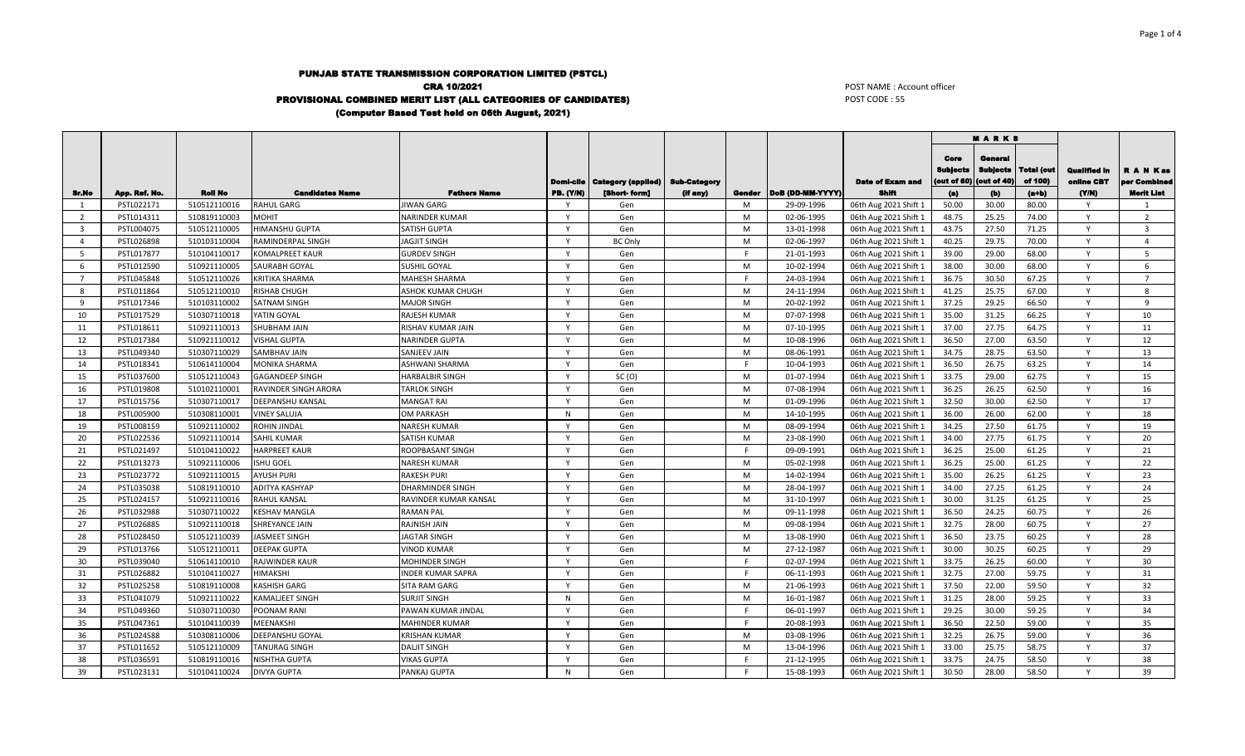## PUNJAB STATE TRANSMISSION CORPORATION LIMITED (PSTCL) CRA 10/2021 PROVISIONAL COMBINED MERIT LIST (ALL CATEGORIES OF CANDIDATES) (Computer Based Test held on 06th August, 2021)

POST NAME : Account officer POST CODE : 55

|                         |               |                |                             |                          |              |                                       |                     |          |                  |                         | <b>MARKS</b>                   |                                           |                              |                                   |                           |
|-------------------------|---------------|----------------|-----------------------------|--------------------------|--------------|---------------------------------------|---------------------|----------|------------------|-------------------------|--------------------------------|-------------------------------------------|------------------------------|-----------------------------------|---------------------------|
|                         |               |                |                             |                          |              | <b>Domi-cile   Category (applied)</b> | <b>Sub-Category</b> |          |                  | <b>Date of Exam and</b> | Core<br>Subjects<br>out of 60) | General<br><b>Subjects</b><br>(out of 40) | <b>Total (out</b><br>of 100) | <b>Qualified In</b><br>online CBT | R A N Kas<br>per Combined |
| Sr. No                  | App. Ref. No. | <b>Roll No</b> | <b>Candidates Name</b>      | <b>Fathers Name</b>      | PB. (Y/N)    | [Short-form]                          | (if any)            | Gender   | DoB (DD-MM-YYYY) | Shift                   | (a)                            | (b)                                       | $(a+b)$                      | (YM)                              | Merit List                |
| $\mathbf{1}$            | PSTL022171    | 510512110016   | <b>RAHUL GARG</b>           | <b>JIWAN GARG</b>        | Y            | Gen                                   |                     | M        | 29-09-1996       | 06th Aug 2021 Shift 1   | 50.00                          | 30.00                                     | 80.00                        | Y<br>$\mathsf{v}$                 | 1                         |
| $\overline{2}$          | PSTL014311    | 510819110003   | <b>MOHIT</b>                | <b>NARINDER KUMAR</b>    | Y            | Gen                                   |                     | M        | 02-06-1995       | 06th Aug 2021 Shift 1   | 48.75                          | 25.25                                     | 74.00                        |                                   | $\overline{2}$            |
| $\overline{\mathbf{3}}$ | PSTL004075    | 510512110005   | <b>HIMANSHU GUPTA</b>       | <b>SATISH GUPTA</b>      | Y            | Gen                                   |                     | M        | 13-01-1998       | 06th Aug 2021 Shift 1   | 43.75                          | 27.50                                     | 71.25                        | Y                                 | $\overline{\mathbf{3}}$   |
| $\overline{4}$          | PSTL026898    | 510103110004   | RAMINDERPAL SINGH           | <b>JAGJIT SINGH</b>      | Y            | <b>BC Only</b>                        |                     | M        | 02-06-1997       | 06th Aug 2021 Shift 1   | 40.25                          | 29.75                                     | 70.00                        | Y                                 | $\overline{4}$            |
| 5                       | PSTL017877    | 510104110017   | <b>KOMALPREET KAUR</b>      | <b>GURDEV SINGH</b>      | $\mathsf{v}$ | Gen                                   |                     | <b>F</b> | 21-01-1993       | 06th Aug 2021 Shift 1   | 39.00                          | 29.00                                     | 68.00                        | v                                 | 5                         |
| 6                       | PSTL012590    | 510921110005   | <b>SAURABH GOYAL</b>        | SUSHIL GOYAL             | Y            | Gen                                   |                     | M        | 10-02-1994       | 06th Aug 2021 Shift 1   | 38.00                          | 30.00                                     | 68.00                        | Y                                 | 6                         |
| $\overline{7}$          | PSTL045848    | 510512110026   | <b>KRITIKA SHARMA</b>       | <b>MAHESH SHARMA</b>     | Y            | Gen                                   |                     | E        | 24-03-1994       | 06th Aug 2021 Shift 1   | 36.75                          | 30.50                                     | 67.25                        | Y                                 | $\overline{7}$            |
| 8                       | PSTL011864    | 510512110010   | <b>RISHAB CHUGH</b>         | ASHOK KUMAR CHUGH        | $\mathsf{v}$ | Gen                                   |                     | M        | 24-11-1994       | 06th Aug 2021 Shift 1   | 41.25                          | 25.75                                     | 67.00                        | v                                 | 8                         |
| -9                      | PSTL017346    | 510103110002   | <b>SATNAM SINGH</b>         | <b>MAJOR SINGH</b>       | Y            | Gen                                   |                     | M        | 20-02-1992       | 06th Aug 2021 Shift 1   | 37.25                          | 29.25                                     | 66.50                        | Y                                 | 9                         |
| 10                      | PSTL017529    | 510307110018   | YATIN GOYAL                 | <b>RAJESH KUMAR</b>      | $\mathsf{Y}$ | Gen                                   |                     | M        | 07-07-1998       | 06th Aug 2021 Shift 1   | 35.00                          | 31.25                                     | 66.25                        | Y                                 | 10                        |
| - 11                    | PSTL018611    | 510921110013   | <b>SHUBHAM JAIN</b>         | RISHAV KUMAR JAIN        | Y            | Gen                                   |                     | M        | 07-10-1995       | 06th Aug 2021 Shift 1   | 37.00                          | 27.75                                     | 64.75                        | Y                                 | 11                        |
| 12                      | PSTL017384    | 510921110012   | <b>VISHAL GUPTA</b>         | <b>NARINDER GUPTA</b>    | $\mathsf{v}$ | Gen                                   |                     | M        | 10-08-1996       | 06th Aug 2021 Shift 1   | 36.50                          | 27.00                                     | 63.50                        | Y                                 | 12                        |
| 13                      | PSTL049340    | 510307110029   | <b>SAMBHAV JAIN</b>         | <b>SANJEEV JAIN</b>      | $\mathsf{v}$ | Gen                                   |                     | M        | 08-06-1991       | 06th Aug 2021 Shift 1   | 34.75                          | 28.75                                     | 63.50                        | $\mathsf{v}$                      | 13                        |
| 14                      | PSTL018341    | 510614110004   | <b>MONIKA SHARMA</b>        | <b>ASHWANI SHARMA</b>    | Y            | Gen                                   |                     | -F       | 10-04-1993       | 06th Aug 2021 Shift 1   | 36.50                          | 26.75                                     | 63.25                        | Y                                 | 14                        |
| 15                      | PSTL037600    | 510512110043   | <b>GAGANDEEP SINGH</b>      | <b>HARBALBIR SINGH</b>   | Y            | SC(0)                                 |                     | M        | 01-07-1994       | 06th Aug 2021 Shift 1   | 33.75                          | 29.00                                     | 62.75                        | $\mathsf{Y}$                      | 15                        |
| 16                      | PSTL019808    | 510102110001   | <b>RAVINDER SINGH ARORA</b> | <b>TARLOK SINGH</b>      | Y            | Gen                                   |                     | M        | 07-08-1994       | 06th Aug 2021 Shift 1   | 36.25                          | 26.25                                     | 62.50                        | Y                                 | 16                        |
| 17                      | PSTL015756    | 510307110017   | <b>DEEPANSHU KANSAL</b>     | <b>MANGAT RAI</b>        | Y            | Gen                                   |                     | M        | 01-09-1996       | 06th Aug 2021 Shift 1   | 32.50                          | 30.00                                     | 62.50                        | Y                                 | 17                        |
| 18                      | PSTL005900    | 510308110001   | <b>VINEY SALUJA</b>         | <b>OM PARKASH</b>        | $\mathsf{N}$ | Gen                                   |                     | M        | 14-10-1995       | 06th Aug 2021 Shift 1   | 36.00                          | 26.00                                     | 62.00                        | Y                                 | 18                        |
| 19                      | PSTL008159    | 510921110002   | <b>ROHIN JINDAL</b>         | <b>NARESH KUMAR</b>      | Y            | Gen                                   |                     | M        | 08-09-1994       | 06th Aug 2021 Shift 1   | 34.25                          | 27.50                                     | 61.75                        | Y                                 | 19                        |
| 20                      | PSTL022536    | 510921110014   | <b>SAHIL KUMAR</b>          | <b>SATISH KUMAR</b>      | $\mathsf{Y}$ | Gen                                   |                     | M        | 23-08-1990       | 06th Aug 2021 Shift 1   | 34.00                          | 27.75                                     | 61.75                        | Y                                 | 20                        |
| 21                      | PSTL021497    | 510104110022   | <b>HARPREET KAUR</b>        | ROOPBASANT SINGH         | Y            | Gen                                   |                     | -F       | 09-09-1991       | 06th Aug 2021 Shift 1   | 36.25                          | 25.00                                     | 61.25                        | Y                                 | 21                        |
| 22                      | PSTL013273    | 510921110006   | <b>ISHU GOEL</b>            | <b>NARESH KUMAR</b>      | Y            | Gen                                   |                     | M        | 05-02-1998       | 06th Aug 2021 Shift 1   | 36.25                          | 25.00                                     | 61.25                        | Y                                 | 22                        |
| 23                      | PSTL023772    | 510921110015   | <b>AYUSH PURI</b>           | <b>RAKESH PURI</b>       | Y            | Gen                                   |                     | M        | 14-02-1994       | 06th Aug 2021 Shift 1   | 35.00                          | 26.25                                     | 61.25                        | Y                                 | 23                        |
| 24                      | PSTL035038    | 510819110010   | <b>ADITYA KASHYAP</b>       | <b>DHARMINDER SINGH</b>  | Y            | Gen                                   |                     | M        | 28-04-1997       | 06th Aug 2021 Shift 1   | 34.00                          | 27.25                                     | 61.25                        | Y                                 | 24                        |
| 25                      | PSTL024157    | 510921110016   | <b>RAHUL KANSAL</b>         | RAVINDER KUMAR KANSAL    | Y            | Gen                                   |                     | M        | 31-10-1997       | 06th Aug 2021 Shift 1   | 30.00                          | 31.25                                     | 61.25                        | Y                                 | 25                        |
| 26                      | PSTL032988    | 510307110022   | <b>KESHAV MANGLA</b>        | <b>RAMAN PAL</b>         | Y            | Gen                                   |                     | M        | 09-11-1998       | 06th Aug 2021 Shift 1   | 36.50                          | 24.25                                     | 60.75                        | Y                                 | 26                        |
| 27                      | PSTL026885    | 510921110018   | SHREYANCE JAIN              | <b>RAJNISH JAIN</b>      | <b>V</b>     | Gen                                   |                     | M        | 09-08-1994       | 06th Aug 2021 Shift 1   | 32.75                          | 28.00                                     | 60.75                        | Y                                 | 27                        |
| 28                      | PSTL028450    | 510512110039   | <b>JASMEET SINGH</b>        | <b>JAGTAR SINGH</b>      | <b>V</b>     | Gen                                   |                     | M        | 13-08-1990       | 06th Aug 2021 Shift 1   | 36.50                          | 23.75                                     | 60.25                        | Y                                 | 28                        |
| 29                      | PSTL013766    | 510512110011   | <b>DEEPAK GUPTA</b>         | <b>VINOD KUMAR</b>       | Y            | Gen                                   |                     | M        | 27-12-1987       | 06th Aug 2021 Shift 1   | 30.00                          | 30.25                                     | 60.25                        | Y                                 | 29                        |
| 30                      | PSTL039040    | 510614110010   | <b>RAJWINDER KAUR</b>       | <b>MOHINDER SINGH</b>    | $\mathsf{v}$ | Gen                                   |                     | E        | 02-07-1994       | 06th Aug 2021 Shift 1   | 33.75                          | 26.25                                     | 60.00                        | Y                                 | 30                        |
| 31                      | PSTL026882    | 510104110027   | HIMAKSHI                    | <b>INDER KUMAR SAPRA</b> | Y            | Gen                                   |                     | -F       | 06-11-1993       | 06th Aug 2021 Shift 1   | 32.75                          | 27.00                                     | 59.75                        | Y                                 | 31                        |
| 32                      | PSTL025258    | 510819110008   | <b>KASHISH GARG</b>         | <b>SITA RAM GARG</b>     | $\mathsf{v}$ | Gen                                   |                     | M        | 21-06-1993       | 06th Aug 2021 Shift 1   | 37.50                          | 22.00                                     | 59.50                        | Y                                 | 32                        |
| 33                      | PSTL041079    | 510921110022   | <b>KAMALIEET SINGH</b>      | <b>SURJIT SINGH</b>      | N            | Gen                                   |                     | M        | 16-01-1987       | 06th Aug 2021 Shift 1   | 31.25                          | 28.00                                     | 59.25                        | $\mathsf{v}$                      | 33                        |
| -34                     | PSTL049360    | 510307110030   | POONAM RANI                 | PAWAN KUMAR JINDAL       | $\mathsf{Y}$ | Gen                                   |                     | E        | 06-01-1997       | 06th Aug 2021 Shift 1   | 29.25                          | 30.00                                     | 59.25                        | Y                                 | 34                        |
| 35                      | PSTL047361    | 510104110039   | <b>MEENAKSHI</b>            | <b>MAHINDER KUMAR</b>    | $\mathsf{v}$ | Gen                                   |                     | <b>F</b> | 20-08-1993       | 06th Aug 2021 Shift 1   | 36.50                          | 22.50                                     | 59.00                        | $\mathsf{v}$                      | 35                        |
| 36                      | PSTL024588    | 510308110006   | DEEPANSHU GOYAL             | <b>KRISHAN KUMAR</b>     | Y            | Gen                                   |                     | M        | 03-08-1996       | 06th Aug 2021 Shift 1   | 32.25                          | 26.75                                     | 59.00                        | Y                                 | 36                        |
| 37                      | PSTL011652    | 510512110009   | <b>TANURAG SINGH</b>        | <b>DALJIT SINGH</b>      | $\mathsf{Y}$ | Gen                                   |                     | M        | 13-04-1996       | 06th Aug 2021 Shift 1   | 33.00                          | 25.75                                     | 58.75                        | Y                                 | 37                        |
| 38                      | PSTL036591    | 510819110016   | <b>NISHTHA GUPTA</b>        | <b>VIKAS GUPTA</b>       | $\mathsf{v}$ | Gen                                   |                     | F        | 21-12-1995       | 06th Aug 2021 Shift 1   | 33.75                          | 24.75                                     | 58.50                        | Y                                 | 38                        |
| 39                      | PSTL023131    | 510104110024   | <b>DIVYA GUPTA</b>          | <b>PANKAJ GUPTA</b>      | $\mathsf{N}$ | Gen                                   |                     | F.       | 15-08-1993       | 06th Aug 2021 Shift 1   | 30.50                          | 28.00                                     | 58.50                        | Y                                 | 39                        |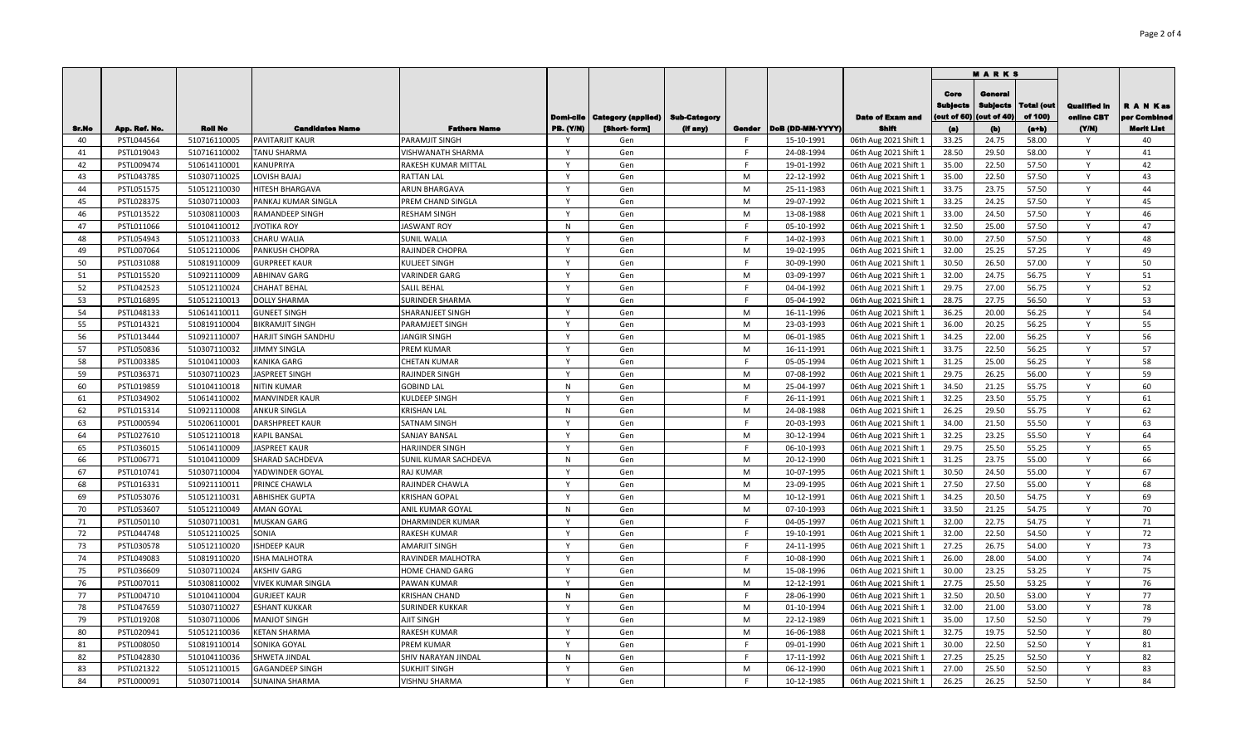|          |                          |                              |                                               |                                          |                   |                                       |                     |             |                          |                                                | <b>MARKS</b>                           |                                          |                       |                                   |                         |  |  |
|----------|--------------------------|------------------------------|-----------------------------------------------|------------------------------------------|-------------------|---------------------------------------|---------------------|-------------|--------------------------|------------------------------------------------|----------------------------------------|------------------------------------------|-----------------------|-----------------------------------|-------------------------|--|--|
|          |                          |                              |                                               |                                          |                   | <b>Domi-cile   Category (applied)</b> | <b>Sub-Category</b> |             |                          | <b>Date of Exam and</b>                        | Core<br><b>Subjects</b><br>out of $60$ | General<br><b>Subjects</b><br>(out of 40 | Total (out<br>of 100) | <b>Qualified In</b><br>online CBT | A N Kas<br>per Combined |  |  |
| Sr.No    | App. Ref. No.            | <b>Roll No</b>               | <b>Candidates Name</b>                        | <b>Fathers Name</b>                      | <b>PB. (Y/N)</b>  | [Short-form]                          | (if any)            | Gender<br>F | DoB (DD-MM-YYYY)         | <b>Shift</b>                                   | (a)                                    | (b)                                      | $(a+b)$               | (YM)                              | Merit List              |  |  |
| 40       | PSTL044564               | 510716110005                 | <b>PAVITARJIT KAUR</b><br><b>TANU SHARMA</b>  | PARAMJIT SINGH                           | Y<br>Y            | Gen                                   |                     | F.          | 15-10-1991               | 06th Aug 2021 Shift 1                          | 33.25<br>28.50                         | 24.75<br>29.50                           | 58.00<br>58.00        | Y<br>Y                            | 40                      |  |  |
| 41<br>42 | PSTL019043<br>PSTL009474 | 510716110002<br>510614110001 | KANUPRIYA                                     | VISHWANATH SHARMA<br>RAKESH KUMAR MITTAL | $\mathsf{v}$      | Gen                                   |                     | F.          | 24-08-1994<br>19-01-1992 | 06th Aug 2021 Shift 1                          | 35.00                                  | 22.50                                    | 57.50                 | Y                                 | 41<br>42                |  |  |
|          |                          |                              | <b>LOVISH BAJAJ</b>                           |                                          | Y                 | Gen                                   |                     | M           |                          | 06th Aug 2021 Shift 1                          |                                        |                                          |                       | Y                                 | 43                      |  |  |
| 43<br>44 | PSTL043785<br>PSTL051575 | 510307110025<br>510512110030 | HITESH BHARGAVA                               | <b>RATTAN LAL</b><br>ARUN BHARGAVA       | $\mathsf{v}$      | Gen<br>Gen                            |                     | M           | 22-12-1992<br>25-11-1983 | 06th Aug 2021 Shift 1<br>06th Aug 2021 Shift 1 | 35.00<br>33.75                         | 22.50<br>23.75                           | 57.50<br>57.50        |                                   | 44                      |  |  |
|          | PSTL028375               |                              |                                               | PREM CHAND SINGLA                        | Y                 |                                       |                     | M           |                          |                                                | 33.25                                  | 24.25                                    | 57.50                 | Y                                 | 45                      |  |  |
| 45<br>46 | PSTL013522               | 510307110003<br>510308110003 | PANKAJ KUMAR SINGLA<br><b>RAMANDEEP SINGH</b> | <b>RESHAM SINGH</b>                      | Y                 | Gen<br>Gen                            |                     | M           | 29-07-1992<br>13-08-1988 | 06th Aug 2021 Shift 1                          | 33.00                                  | 24.50                                    | 57.50                 | Y                                 | 46                      |  |  |
| 47       | PSTL011066               | 510104110012                 | <b>JYOTIKA ROY</b>                            | <b>JASWANT ROY</b>                       | N                 | Gen                                   |                     | F           | 05-10-1992               | 06th Aug 2021 Shift 1<br>06th Aug 2021 Shift 1 | 32.50                                  | 25.00                                    | 57.50                 | Y                                 | 47                      |  |  |
| 48       | PSTL054943               | 510512110033                 | CHARU WALIA                                   | <b>SUNIL WALIA</b>                       |                   | Gen                                   |                     | F.          | 14-02-1993               |                                                | 30.00                                  | 27.50                                    | 57.50                 | Y                                 | 48                      |  |  |
| 49       |                          | 510512110006                 | <b>PANKUSH CHOPRA</b>                         |                                          | $\mathsf{v}$      | Gen                                   |                     | M           | 19-02-1995               | 06th Aug 2021 Shift 1                          | 32.00                                  | 25.25                                    | 57.25                 | Y                                 | 49                      |  |  |
| 50       | PSTL007064               |                              | <b>GURPREET KAUR</b>                          | RAJINDER CHOPRA                          | $\mathsf{v}$      |                                       |                     | F           |                          | 06th Aug 2021 Shift 1                          | 30.50                                  | 26.50                                    | 57.00                 | Y                                 | 50                      |  |  |
|          | PSTL031088               | 510819110009                 |                                               | <b>KULJEET SINGH</b>                     | Y                 | Gen                                   |                     | M           | 30-09-1990               | 06th Aug 2021 Shift 1                          |                                        |                                          |                       | Y                                 | 51                      |  |  |
| 51       | PSTL015520               | 510921110009                 | <b>ABHINAV GARG</b>                           | <b>VARINDER GARG</b>                     | Y                 | Gen                                   |                     | F.          | 03-09-1997               | 06th Aug 2021 Shift 1                          | 32.00                                  | 24.75                                    | 56.75                 | Y                                 |                         |  |  |
| 52       | PSTL042523               | 510512110024                 | <b>CHAHAT BEHAL</b>                           | <b>SALIL BEHAL</b>                       |                   | Gen                                   |                     |             | 04-04-1992               | 06th Aug 2021 Shift 1                          | 29.75                                  | 27.00                                    | 56.75                 | Y                                 | 52                      |  |  |
| 53       | PSTL016895               | 510512110013                 | <b>DOLLY SHARMA</b>                           | <b>SURINDER SHARMA</b>                   | Y                 | Gen                                   |                     | F.          | 05-04-1992               | 06th Aug 2021 Shift 1                          | 28.75                                  | 27.75                                    | 56.50                 |                                   | 53                      |  |  |
| 54       | PSTL048133               | 510614110011                 | <b>GUNEET SINGH</b>                           | <b>SHARANJEET SINGH</b>                  | Y                 | Gen                                   |                     | M           | 16-11-1996               | 06th Aug 2021 Shift 1                          | 36.25                                  | 20.00                                    | 56.25                 | Y<br>$\mathsf{Y}$                 | 54                      |  |  |
| 55       | PSTL014321               | 510819110004                 | <b>BIKRAMJIT SINGH</b>                        | <b>PARAMJEET SINGH</b>                   | Y                 | Gen                                   |                     | M           | 23-03-1993               | 06th Aug 2021 Shift 1                          | 36.00                                  | 20.25                                    | 56.25                 |                                   | 55                      |  |  |
| 56       | PSTL013444               | 510921110007                 | HARJIT SINGH SANDHU                           | <b>JANGIR SINGH</b>                      | Y                 | Gen                                   |                     | M           | 06-01-1985               | 06th Aug 2021 Shift 1                          | 34.25                                  | 22.00                                    | 56.25                 | Y                                 | 56                      |  |  |
| 57       | PSTL050836               | 510307110032                 | <b>JIMMY SINGLA</b>                           | <b>PREM KUMAR</b>                        | $\mathsf{Y}$<br>Y | Gen                                   |                     | M           | 16-11-1991               | 06th Aug 2021 Shift 1                          | 33.75                                  | 22.50                                    | 56.25                 | Y<br>Y                            | 57                      |  |  |
| 58       | PSTL003385               | 510104110003                 | <b>KANIKA GARG</b>                            | <b>CHETAN KUMAR</b>                      |                   | Gen                                   |                     | F.          | 05-05-1994               | 06th Aug 2021 Shift 1                          | 31.25                                  | 25.00                                    | 56.25                 | $\mathsf{Y}$                      | 58                      |  |  |
| 59       | PSTL036371               | 510307110023                 | JASPREET SINGH                                | <b>RAJINDER SINGH</b>                    | Y                 | Gen                                   |                     | M           | 07-08-1992               | 06th Aug 2021 Shift 1                          | 29.75                                  | 26.25                                    | 56.00                 |                                   | 59                      |  |  |
| 60       | PSTL019859               | 510104110018                 | <b>NITIN KUMAR</b>                            | <b>GOBIND LAL</b>                        | N                 | Gen                                   |                     | M           | 25-04-1997               | 06th Aug 2021 Shift 1                          | 34.50                                  | 21.25                                    | 55.75                 | Y                                 | 60                      |  |  |
| 61       | PSTL034902               | 510614110002                 | <b>MANVINDER KAUR</b>                         | <b>KULDEEP SINGH</b>                     | $\mathsf{v}$      | Gen                                   |                     | F           | 26-11-1991               | 06th Aug 2021 Shift 1                          | 32.25                                  | 23.50                                    | 55.75                 | Y                                 | 61                      |  |  |
| 62       | PSTL015314               | 510921110008                 | <b>ANKUR SINGLA</b>                           | <b>KRISHAN LAL</b>                       | N                 | Gen                                   |                     | M           | 24-08-1988               | 06th Aug 2021 Shift 1                          | 26.25                                  | 29.50                                    | 55.75                 | Y                                 | 62                      |  |  |
| 63       | PSTL000594               | 510206110001                 | <b>DARSHPREET KAUR</b>                        | <b>SATNAM SINGH</b>                      | Y                 | Gen                                   |                     | F           | 20-03-1993               | 06th Aug 2021 Shift 1                          | 34.00                                  | 21.50                                    | 55.50                 | Y                                 | 63                      |  |  |
| 64       | PSTL027610               | 510512110018                 | <b>KAPIL BANSAL</b>                           | <b>SANJAY BANSAL</b>                     | Y                 | Gen                                   |                     | M           | 30-12-1994               | 06th Aug 2021 Shift 1                          | 32.25                                  | 23.25                                    | 55.50                 | Y                                 | 64                      |  |  |
| 65       | PSTL036015               | 510614110009                 | <b>JASPREET KAUR</b>                          | <b>HARJINDER SINGH</b>                   | Y                 | Gen                                   |                     | F           | 06-10-1993               | 06th Aug 2021 Shift 1                          | 29.75                                  | 25.50                                    | 55.25                 | Y                                 | 65                      |  |  |
| 66       | PSTL006771               | 510104110009                 | <b>SHARAD SACHDEVA</b>                        | SUNIL KUMAR SACHDEVA                     | N                 | Gen                                   |                     | M           | 20-12-1990               | 06th Aug 2021 Shift 1                          | 31.25                                  | 23.75                                    | 55.00                 | Y                                 | 66                      |  |  |
| 67       | PSTL010741               | 510307110004                 | YADWINDER GOYAL                               | <b>RAJ KUMAR</b>                         | Y                 | Gen                                   |                     | M           | 10-07-1995               | 06th Aug 2021 Shift 1                          | 30.50                                  | 24.50                                    | 55.00                 | Y                                 | 67                      |  |  |
| 68       | PSTL016331               | 510921110011                 | PRINCE CHAWLA                                 | RAJINDER CHAWLA                          | Y                 | Gen                                   |                     | M           | 23-09-1995               | 06th Aug 2021 Shift 1                          | 27.50                                  | 27.50                                    | 55.00                 | Y                                 | 68                      |  |  |
| 69       | PSTL053076               | 510512110031                 | <b>ABHISHEK GUPTA</b>                         | <b>KRISHAN GOPAL</b>                     | Y                 | Gen                                   |                     | M           | 10-12-1991               | 06th Aug 2021 Shift 1                          | 34.25                                  | 20.50                                    | 54.75                 | Y                                 | 69                      |  |  |
| 70       | PSTL053607               | 510512110049                 | <b>AMAN GOYAL</b>                             | ANIL KUMAR GOYAL                         | N                 | Gen                                   |                     | M           | 07-10-1993               | 06th Aug 2021 Shift 1                          | 33.50                                  | 21.25                                    | 54.75                 | Y                                 | 70                      |  |  |
| 71       | PSTL050110               | 510307110031                 | <b>MUSKAN GARG</b>                            | DHARMINDER KUMAR                         | Y                 | Gen                                   |                     | F.          | 04-05-1997               | 06th Aug 2021 Shift 1                          | 32.00                                  | 22.75                                    | 54.75                 | Y                                 | 71                      |  |  |
| 72       | PSTL044748               | 510512110025                 | SONIA                                         | RAKESH KUMAR                             | Y                 | Gen                                   |                     | F.          | 19-10-1991               | 06th Aug 2021 Shift 1                          | 32.00                                  | 22.50                                    | 54.50                 | Y                                 | 72                      |  |  |
| 73       | PSTL030578               | 510512110020                 | <b>ISHDEEP KAUR</b>                           | <b>AMARJIT SINGH</b>                     | Y                 | Gen                                   |                     | F.          | 24-11-1995               | 06th Aug 2021 Shift 1                          | 27.25                                  | 26.75                                    | 54.00                 | Y                                 | 73                      |  |  |
| 74       | PSTL049083               | 510819110020                 | <b>ISHA MALHOTRA</b>                          | RAVINDER MALHOTRA                        | $\mathsf{v}$      | Gen                                   |                     | F.          | 10-08-1990               | 06th Aug 2021 Shift 1                          | 26.00                                  | 28.00                                    | 54.00                 | Y                                 | 74                      |  |  |
| 75       | PSTL036609               | 510307110024                 | <b>AKSHIV GARG</b>                            | HOME CHAND GARG                          | $\mathsf{v}$      | Gen                                   |                     | M           | 15-08-1996               | 06th Aug 2021 Shift 1                          | 30.00                                  | 23.25                                    | 53.25                 | Y                                 | 75                      |  |  |
| 76       | PSTL007011               | 510308110002                 | <b>VIVEK KUMAR SINGLA</b>                     | <b>PAWAN KUMAR</b>                       | v                 | Gen                                   |                     | M           | 12-12-1991               | 06th Aug 2021 Shift 1                          | 27.75                                  | 25.50                                    | 53.25                 | Y                                 | 76                      |  |  |
| 77       | PSTL004710               | 510104110004                 | <b>GURJEET KAUR</b>                           | <b>KRISHAN CHAND</b>                     | N                 | Gen                                   |                     | F           | 28-06-1990               | 06th Aug 2021 Shift 1                          | 32.50                                  | 20.50                                    | 53.00                 | Y                                 | 77                      |  |  |
| 78       | PSTL047659               | 510307110027                 | <b>ESHANT KUKKAR</b>                          | <b>SURINDER KUKKAR</b>                   | Y                 | Gen                                   |                     | M           | 01-10-1994               | 06th Aug 2021 Shift 1                          | 32.00                                  | 21.00                                    | 53.00                 | Y                                 | 78                      |  |  |
| 79       | PSTL019208               | 510307110006                 | <b>MANJOT SINGH</b>                           | AJIT SINGH                               | Y                 | Gen                                   |                     | M           | 22-12-1989               | 06th Aug 2021 Shift 1                          | 35.00                                  | 17.50                                    | 52.50                 | $\mathsf{Y}$                      | 79                      |  |  |
| 80       | PSTL020941               | 510512110036                 | <b>KETAN SHARMA</b>                           | <b>RAKESH KUMAR</b>                      | Y                 | Gen                                   |                     | M           | 16-06-1988               | 06th Aug 2021 Shift 1                          | 32.75                                  | 19.75                                    | 52.50                 | Y                                 | 80                      |  |  |
| 81       | PSTL008050               | 510819110014                 | SONIKA GOYAL                                  | <b>PREM KUMAR</b>                        | Y                 | Gen                                   |                     | F.          | 09-01-1990               | 06th Aug 2021 Shift 1                          | 30.00                                  | 22.50                                    | 52.50                 | Y                                 | 81                      |  |  |
| 82       | PSTL042830               | 510104110036                 | <b>SHWETA JINDAL</b>                          | <b>SHIV NARAYAN JINDAL</b>               | N                 | Gen                                   |                     | F.          | 17-11-1992               | 06th Aug 2021 Shift 1                          | 27.25                                  | 25.25                                    | 52.50                 | Y                                 | 82                      |  |  |
| 83       | PSTL021322               | 510512110015                 | <b>GAGANDEEP SINGH</b>                        | <b>SUKHJIT SINGH</b>                     | Y                 | Gen                                   |                     | M           | 06-12-1990               | 06th Aug 2021 Shift 1                          | 27.00                                  | 25.50                                    | 52.50                 | Y                                 | 83                      |  |  |
| 84       | PSTL000091               | 510307110014                 | <b>SUNAINA SHARMA</b>                         | <b>VISHNU SHARMA</b>                     | $\mathsf{Y}$      | Gen                                   |                     | F.          | 10-12-1985               | 06th Aug 2021 Shift 1                          | 26.25                                  | 26.25                                    | 52.50                 | $\mathsf{v}$                      | 84                      |  |  |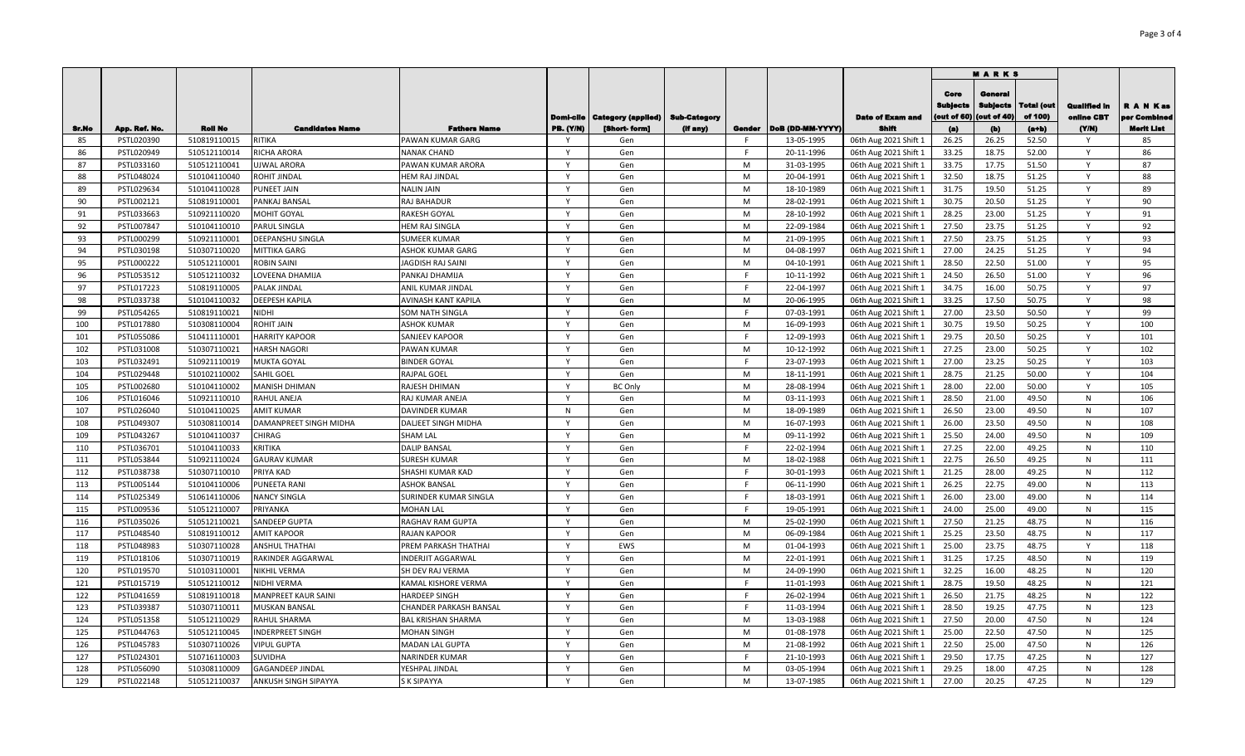|              |                             |                              |                                                   |                                                  |                       |                                       |                     |         |                          |                                | <b>MARKS</b>                          |                                  |                       |                            |                          |
|--------------|-----------------------------|------------------------------|---------------------------------------------------|--------------------------------------------------|-----------------------|---------------------------------------|---------------------|---------|--------------------------|--------------------------------|---------------------------------------|----------------------------------|-----------------------|----------------------------|--------------------------|
| <b>Sr.No</b> |                             | <b>Roll No</b>               | <b>Candidates Name</b>                            |                                                  |                       | <b>Domi-cile   Category (applied)</b> | <b>Sub-Category</b> |         | Gender DoB (DD-MM-YYYY)  | <b>Date of Exam and</b>        | Core<br><b>Bublects</b><br>out of 60) | General<br>Subiects<br>out of 40 | Total (out<br>of 100) | Qualified in<br>oniine CBT | R A N Kas<br>er Combinee |
| 85           | App. Ref. No.<br>PSTL020390 | 510819110015                 | RITIKA                                            | <b>Fathers Name</b><br><b>PAWAN KUMAR GARG</b>   | PB. (Y/N)<br><b>V</b> | [Short-form]<br>Gen                   | (If any)            | F.      | 13-05-1995               | Shift<br>06th Aug 2021 Shift 1 | (a)<br>26.25                          | (b)<br>26.25                     | $(a+b)$<br>52.50      | (YM)<br>Y                  | <b>Merit List</b><br>85  |
| 86           | PSTL020949                  | 510512110014                 | <b>RICHA ARORA</b>                                | <b>NANAK CHAND</b>                               | Y                     | Gen                                   |                     | F.      | 20-11-1996               | 06th Aug 2021 Shift 1          | 33.25                                 | 18.75                            | 52.00                 | Y                          | 86                       |
| 87           | PSTL033160                  | 510512110041                 | <b>UJWAL ARORA</b>                                | PAWAN KUMAR ARORA                                | <b>V</b>              | Gen                                   |                     | M       | 31-03-1995               | 06th Aug 2021 Shift 1          | 33.75                                 | 17.75                            | 51.50                 | Y                          | 87                       |
| 88           | PSTL048024                  | 510104110040                 | <b>ROHIT JINDAL</b>                               | HEM RAJ JINDAL                                   | Y                     | Gen                                   |                     | M       | 20-04-1991               | 06th Aug 2021 Shift 1          | 32.50                                 | 18.75                            | 51.25                 | Y                          | 88                       |
| 89           | PSTL029634                  | 510104110028                 | <b>PUNEET JAIN</b>                                | <b>NALIN JAIN</b>                                | <b>V</b>              | Gen                                   |                     | M       | 18-10-1989               | 06th Aug 2021 Shift 1          | 31.75                                 | 19.50                            | 51.25                 | Y                          | 89                       |
| 90           | PSTL002121                  | 510819110001                 | PANKAJ BANSAL                                     | <b>RAJ BAHADUR</b>                               | Y                     | Gen                                   |                     | M       | 28-02-1991               | 06th Aug 2021 Shift 1          | 30.75                                 | 20.50                            | 51.25                 | Y                          | 90                       |
| 91           | PSTL033663                  | 510921110020                 | <b>MOHIT GOYAL</b>                                | <b>RAKESH GOYAL</b>                              |                       | Gen                                   |                     | M       | 28-10-1992               | 06th Aug 2021 Shift 1          | 28.25                                 | 23.00                            | 51.25                 | v                          | 91                       |
| 92           | PSTL007847                  | 510104110010                 | <b>PARUL SINGLA</b>                               | HEM RAJ SINGLA                                   |                       | Gen                                   |                     | M       | 22-09-1984               | 06th Aug 2021 Shift 1          | 27.50                                 | 23.75                            | 51.25                 | $\mathsf{v}$               | 92                       |
| 93           | PSTL000299                  | 510921110001                 | DEEPANSHU SINGLA                                  | <b>SUMEER KUMAR</b>                              |                       | Gen                                   |                     | M       | 21-09-1995               | 06th Aug 2021 Shift 1          | 27.50                                 | 23.75                            | 51.25                 | $\mathsf{v}$               | 93                       |
| 94           | PSTL030198                  | 510307110020                 | <b>MITTIKA GARG</b>                               | <b>ASHOK KUMAR GARG</b>                          |                       | Gen                                   |                     | M       | 04-08-1997               | 06th Aug 2021 Shift 1          | 27.00                                 | 24.25                            | 51.25                 |                            | 94                       |
| 95           | PSTL000222                  | 510512110001                 | <b>ROBIN SAINI</b>                                | JAGDISH RAJ SAINI                                |                       | Gen                                   |                     | M       | 04-10-1991               | 06th Aug 2021 Shift 1          | 28.50                                 | 22.50                            | 51.00                 |                            | 95                       |
| 96           | PSTL053512                  | 510512110032                 | <b>LOVEENA DHAMIJA</b>                            | PANKAJ DHAMIJA                                   |                       | Gen                                   |                     | E       | 10-11-1992               | 06th Aug 2021 Shift 1          | 24.50                                 | 26.50                            | 51.00                 |                            | 96                       |
| 97           | PSTL017223                  | 510819110005                 | <b>PALAK JINDAL</b>                               | <b>ANIL KUMAR JINDAL</b>                         |                       | Gen                                   |                     | F.      | 22-04-1997               | 06th Aug 2021 Shift 1          | 34.75                                 | 16.00                            | 50.75                 | Y                          | 97                       |
| 98           | PSTL033738                  | 510104110032                 | <b>DEEPESH KAPILA</b>                             | <b>AVINASH KANT KAPILA</b>                       |                       | Gen                                   |                     | M       | 20-06-1995               | 06th Aug 2021 Shift 1          | 33.25                                 | 17.50                            | 50.75                 |                            | 98                       |
| 99           | PSTL054265                  | 510819110021                 | <b>NIDHI</b>                                      | <b>SOM NATH SINGLA</b>                           | $\mathsf{v}$          | Gen                                   |                     | F       | 07-03-1991               | 06th Aug 2021 Shift 1          | 27.00                                 | 23.50                            | 50.50                 | Y                          | 99                       |
| 100          | PSTL017880                  | 510308110004                 | <b>ROHIT JAIN</b>                                 | <b>ASHOK KUMAR</b>                               | $\mathsf{Y}$          | Gen                                   |                     | M       | 16-09-1993               | 06th Aug 2021 Shift 1          | 30.75                                 | 19.50                            | 50.25                 | Y                          | 100                      |
| 101          | PSTL055086                  | 510411110001                 | <b>HARRITY KAPOOR</b>                             | <b>SANJEEV KAPOOR</b>                            | $\mathsf{v}$          | Gen                                   |                     | F       | 12-09-1993               | 06th Aug 2021 Shift 1          | 29.75                                 | 20.50                            | 50.25                 | Y                          | 101                      |
| 102          | PSTL031008                  | 510307110021                 | <b>HARSH NAGORI</b>                               | <b>PAWAN KUMAR</b>                               | $\mathsf{v}$          | Gen                                   |                     | M       | 10-12-1992               | 06th Aug 2021 Shift 1          | 27.25                                 | 23.00                            | 50.25                 | $\mathsf{Y}$               | 102                      |
| 103          | PSTL032491                  | 510921110019                 | <b>MUKTA GOYAL</b>                                | <b>BINDER GOYAL</b>                              | $\mathsf{v}$          | Gen                                   |                     | F.      | 23-07-1993               | 06th Aug 2021 Shift 1          | 27.00                                 | 23.25                            | 50.25                 | $\mathsf{Y}$               | 103                      |
| 104          | PSTL029448                  | 510102110002                 | SAHIL GOEL                                        | <b>RAJPAL GOEL</b>                               | $\mathsf{v}$          |                                       |                     | M       | 18-11-1991               | 06th Aug 2021 Shift 1          | 28.75                                 | 21.25                            | 50.00                 | Y                          | 104                      |
| 105          | PSTL002680                  | 510104110002                 | <b>MANISH DHIMAN</b>                              | RAJESH DHIMAN                                    | Y                     | Gen<br><b>BC Only</b>                 |                     | M       | 28-08-1994               | 06th Aug 2021 Shift 1          | 28.00                                 | 22.00                            | 50.00                 | Y                          | 105                      |
| 106          | PSTL016046                  | 510921110010                 | <b>RAHUL ANEJA</b>                                | <b>RAJ KUMAR ANEJA</b>                           | <b>V</b>              | Gen                                   |                     | M       | 03-11-1993               | 06th Aug 2021 Shift 1          | 28.50                                 | 21.00                            | 49.50                 | N                          | 106                      |
| 107          | PSTL026040                  |                              | <b>AMIT KUMAR</b>                                 | <b>DAVINDER KUMAR</b>                            | N                     |                                       |                     | M       | 18-09-1989               | 06th Aug 2021 Shift 1          | 26.50                                 | 23.00                            | 49.50                 | N                          | 107                      |
| 108          | PSTL049307                  | 510104110025<br>510308110014 | DAMANPREET SINGH MIDHA                            | <b>DALJEET SINGH MIDHA</b>                       | <b>V</b>              | Gen<br>Gen                            |                     | M       | 16-07-1993               | 06th Aug 2021 Shift 1          | 26.00                                 | 23.50                            | 49.50                 | N                          | 108                      |
| 109          | PSTL043267                  | 510104110037                 | <b>CHIRAG</b>                                     | <b>SHAM LAL</b>                                  | Y                     | Gen                                   |                     | M       | 09-11-1992               |                                | 25.50                                 | 24.00                            | 49.50                 | N                          | 109                      |
| 110          | PSTL036701                  | 510104110033                 | <b>KRITIKA</b>                                    | <b>DALIP BANSAL</b>                              | $\mathbf v$           |                                       |                     | F       | 22-02-1994               | 06th Aug 2021 Shift 1          | 27.25                                 | 22.00                            | 49.25                 | N                          | 110                      |
|              | PSTL053844                  |                              |                                                   |                                                  | Y                     | Gen                                   |                     | M       |                          | 06th Aug 2021 Shift 1          |                                       | 26.50                            | 49.25                 |                            | 111                      |
| 111<br>112   |                             | 510921110024                 | <b>GAURAV KUMAR</b><br>PRIYA KAD                  | <b>SURESH KUMAR</b><br>SHASHI KUMAR KAD          | <b>V</b>              | Gen                                   |                     | F       | 18-02-1988<br>30-01-1993 | 06th Aug 2021 Shift 1          | 22.75                                 | 28.00                            | 49.25                 | N                          | 112                      |
|              | PSTL038738                  | 510307110010                 |                                                   |                                                  | Y                     | Gen                                   |                     |         |                          | 06th Aug 2021 Shift 1          | 21.25                                 |                                  |                       | N                          |                          |
| 113          | PSTL005144                  | 510104110006                 | PUNEETA RANI                                      | <b>ASHOK BANSAL</b>                              | <b>V</b>              | Gen                                   |                     | F.<br>F | 06-11-1990               | 06th Aug 2021 Shift 1          | 26.25                                 | 22.75                            | 49.00                 | N                          | 113                      |
| 114          | PSTL025349                  | 510614110006                 | <b>NANCY SINGLA</b>                               | SURINDER KUMAR SINGLA                            |                       | Gen                                   |                     | F       | 18-03-1991               | 06th Aug 2021 Shift 1          | 26.00                                 | 23.00                            | 49.00                 | N                          | 114<br>115               |
| 115          | PSTL009536                  | 510512110007                 | PRIYANKA                                          | <b>MOHAN LAL</b>                                 |                       | Gen                                   |                     |         | 19-05-1991               | 06th Aug 2021 Shift 1          | 24.00                                 | 25.00                            | 49.00                 | N                          |                          |
| 116          | PSTL035026                  | 510512110021                 | <b>SANDEEP GUPTA</b>                              | RAGHAV RAM GUPTA                                 |                       | Gen                                   |                     | M       | 25-02-1990               | 06th Aug 2021 Shift 1          | 27.50                                 | 21.25                            | 48.75                 | N<br>N                     | 116<br>117               |
| 117          | PSTL048540                  | 510819110012                 | <b>AMIT KAPOOR</b>                                | <b>RAJAN KAPOOR</b>                              |                       | Gen<br>EWS                            |                     | M<br>M  | 06-09-1984               | 06th Aug 2021 Shift 1          | 25.25                                 | 23.50                            | 48.75                 |                            | 118                      |
| 118<br>119   | PSTL048983                  | 510307110028                 | <b>ANSHUL THATHAI</b><br><b>RAKINDER AGGARWAL</b> | PREM PARKASH THATHAI<br><b>INDERJIT AGGARWAL</b> |                       | Gen                                   |                     | M       | 01-04-1993               | 06th Aug 2021 Shift 1          | 25.00                                 | 23.75<br>17.25                   | 48.75<br>48.50        |                            | 119                      |
|              | PSTL018106                  | 510307110019                 |                                                   |                                                  |                       |                                       |                     |         | 22-01-1991               | 06th Aug 2021 Shift 1          | 31.25                                 |                                  |                       | N                          |                          |
| 120          | PSTL019570                  | 510103110001                 | <b>NIKHIL VERMA</b>                               | <b>SH DEV RAJ VERMA</b>                          |                       | Gen                                   |                     | M<br>F. | 24-09-1990               | 06th Aug 2021 Shift 1          | 32.25                                 | 16.00                            | 48.25                 | N                          | 120                      |
| 121          | PSTL015719                  | 510512110012                 | <b>NIDHI VERMA</b>                                | <b>KAMAL KISHORE VERMA</b>                       |                       | Gen                                   |                     |         | 11-01-1993               | 06th Aug 2021 Shift 1          | 28.75                                 | 19.50                            | 48.25                 | N                          | 121                      |
| 122          | PSTL041659                  | 510819110018                 | <b>MANPREET KAUR SAINI</b>                        | <b>HARDEEP SINGH</b>                             |                       | Gen                                   |                     | F       | 26-02-1994               | 06th Aug 2021 Shift 1          | 26.50                                 | 21.75                            | 48.25                 | $\mathsf{N}$               | 122                      |
| 123          | PSTL039387                  | 510307110011                 | <b>MUSKAN BANSAL</b>                              | CHANDER PARKASH BANSAL                           | $\mathbf v$           | Gen                                   |                     | F.      | 11-03-1994               | 06th Aug 2021 Shift 1          | 28.50                                 | 19.25                            | 47.75                 | N                          | 123                      |
| 124          | PSTL051358                  | 510512110029                 | <b>RAHUL SHARMA</b>                               | <b>BAL KRISHAN SHARMA</b>                        | $\mathsf{Y}$          | Gen                                   |                     | M       | 13-03-1988               | 06th Aug 2021 Shift 1          | 27.50                                 | 20.00                            | 47.50                 | N                          | 124                      |
| 125          | PSTL044763                  | 510512110045                 | <b>INDERPREET SINGH</b>                           | <b>MOHAN SINGH</b>                               | $\mathsf{v}$          | Gen                                   |                     | M       | 01-08-1978               | 06th Aug 2021 Shift 1          | 25.00                                 | 22.50                            | 47.50                 | N                          | 125                      |
| 126          | PSTL045783                  | 510307110026                 | <b>VIPUL GUPTA</b>                                | <b>MADAN LAL GUPTA</b>                           | Y                     | Gen                                   |                     | M       | 21-08-1992               | 06th Aug 2021 Shift 1          | 22.50                                 | 25.00                            | 47.50                 | N                          | 126                      |
| 127          | PSTL024301                  | 510716110003                 | <b>SUVIDHA</b>                                    | <b>NARINDER KUMAR</b>                            | $\mathsf{v}$          | Gen                                   |                     | F.      | 21-10-1993               | 06th Aug 2021 Shift 1          | 29.50                                 | 17.75                            | 47.25                 | N                          | 127                      |
| 128          | PSTL056090                  | 510308110009                 | <b>GAGANDEEP JINDAL</b>                           | YESHPAL JINDAL                                   | Y                     | Gen                                   |                     | M       | 03-05-1994               | 06th Aug 2021 Shift 1          | 29.25                                 | 18.00                            | 47.25                 | ${\sf N}$                  | 128                      |
| 129          | PSTL022148                  | 510512110037                 | <b>ANKUSH SINGH SIPAYYA</b>                       | <b>S K SIPAYYA</b>                               | $\mathsf{v}$          | Gen                                   |                     | M       | 13-07-1985               | 06th Aug 2021 Shift 1          | 27.00                                 | 20.25                            | 47.25                 | $\mathsf{N}$               | 129                      |